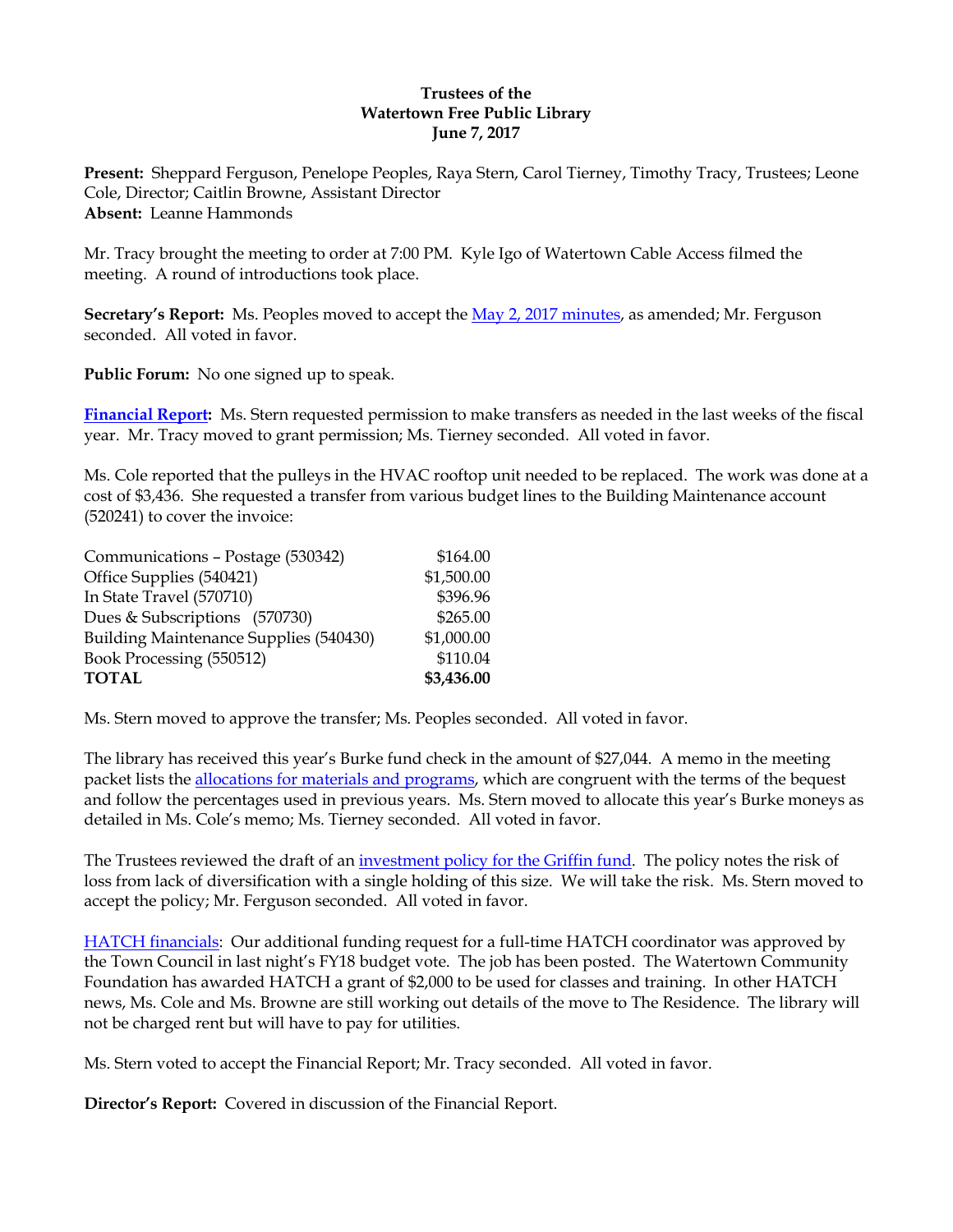#### **Trustees of the Watertown Free Public Library June 7, 2017**

**Present:** Sheppard Ferguson, Penelope Peoples, Raya Stern, Carol Tierney, Timothy Tracy, Trustees; Leone Cole, Director; Caitlin Browne, Assistant Director **Absent:** Leanne Hammonds

Mr. Tracy brought the meeting to order at 7:00 PM. Kyle Igo of Watertown Cable Access filmed the meeting. A round of introductions took place.

**Secretary's Report:** Ms. Peoples moved to accept the May [2, 2017 minutes,](http://ci.watertown.ma.us/DocumentCenter/View/22884) as amended; Mr. Ferguson seconded. All voted in favor.

**Public Forum:** No one signed up to speak.

**[Financial Report:](http://ci.watertown.ma.us/DocumentCenter/View/23055)** Ms. Stern requested permission to make transfers as needed in the last weeks of the fiscal year. Mr. Tracy moved to grant permission; Ms. Tierney seconded. All voted in favor.

Ms. Cole reported that the pulleys in the HVAC rooftop unit needed to be replaced. The work was done at a cost of \$3,436. She requested a transfer from various budget lines to the Building Maintenance account (520241) to cover the invoice:

| \$164.00   |
|------------|
| \$1,500.00 |
| \$396.96   |
| \$265.00   |
| \$1,000.00 |
| \$110.04   |
| \$3,436.00 |
|            |

Ms. Stern moved to approve the transfer; Ms. Peoples seconded. All voted in favor.

The library has received this year's Burke fund check in the amount of \$27,044. A memo in the meeting packet lists the [allocations for materials and programs,](http://ci.watertown.ma.us/DocumentCenter/View/23053) which are congruent with the terms of the bequest and follow the percentages used in previous years. Ms. Stern moved to allocate this year's Burke moneys as detailed in Ms. Cole's memo; Ms. Tierney seconded. All voted in favor.

The Trustees reviewed the draft of an [investment policy for the Griffin](http://ci.watertown.ma.us/DocumentCenter/View/23056) fund. The policy notes the risk of loss from lack of diversification with a single holding of this size. We will take the risk. Ms. Stern moved to accept the policy; Mr. Ferguson seconded. All voted in favor.

[HATCH financials:](http://ci.watertown.ma.us/DocumentCenter/View/23057) Our additional funding request for a full-time HATCH coordinator was approved by the Town Council in last night's FY18 budget vote. The job has been posted. The Watertown Community Foundation has awarded HATCH a grant of \$2,000 to be used for classes and training. In other HATCH news, Ms. Cole and Ms. Browne are still working out details of the move to The Residence. The library will not be charged rent but will have to pay for utilities.

Ms. Stern voted to accept the Financial Report; Mr. Tracy seconded. All voted in favor.

**Director's Report:** Covered in discussion of the Financial Report.